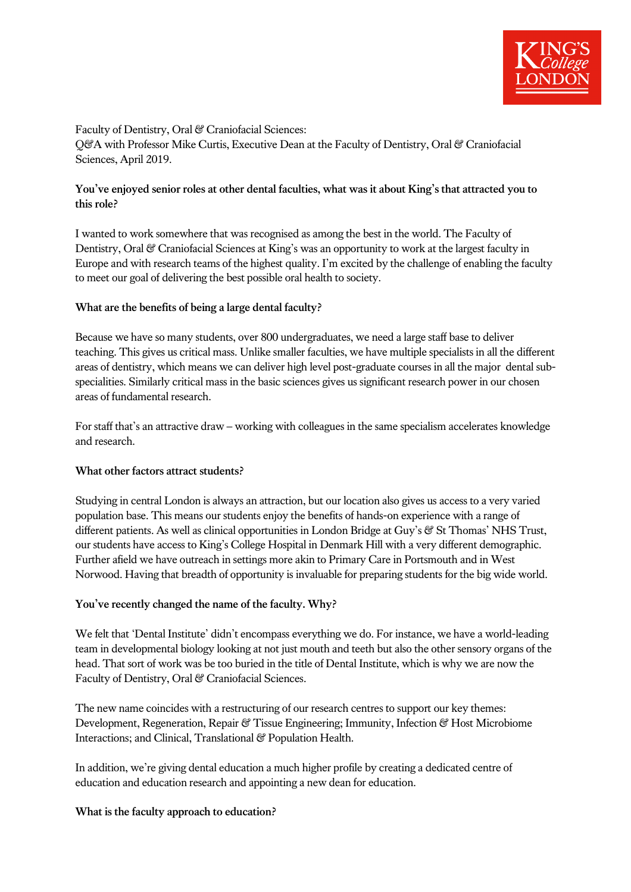

Faculty of Dentistry, Oral & Craniofacial Sciences:

Q&A with Professor Mike Curtis, Executive Dean at the Faculty of Dentistry, Oral & Craniofacial Sciences, April 2019.

# **You've enjoyed senior roles at other dental faculties, what was it about King's that attracted you to this role?**

I wanted to work somewhere that was recognised as among the best in the world. The Faculty of Dentistry, Oral & Craniofacial Sciences at King's was an opportunity to work at the largest faculty in Europe and with research teams of the highest quality. I'm excited by the challenge of enabling the faculty to meet our goal of delivering the best possible oral health to society.

## **What are the benefits of being a large dental faculty?**

Because we have so many students, over 800 undergraduates, we need a large staff base to deliver teaching. This gives us critical mass. Unlike smaller faculties, we have multiple specialists in all the different areas of dentistry, which means we can deliver high level post-graduate courses in all the major dental subspecialities. Similarly critical mass in the basic sciences gives us significant research power in our chosen areas of fundamental research.

For staff that's an attractive draw – working with colleagues in the same specialism accelerates knowledge and research.

## **What other factors attract students?**

Studying in central London is always an attraction, but our location also gives us access to a very varied population base. This means our students enjoy the benefits of hands-on experience with a range of different patients. As well as clinical opportunities in London Bridge at Guy's & St Thomas' NHS Trust, our students have access to King's College Hospital in Denmark Hill with a very different demographic. Further afield we have outreach in settings more akin to Primary Care in Portsmouth and in West Norwood. Having that breadth of opportunity is invaluable for preparing students for the big wide world.

## **You've recently changed the name of the faculty. Why?**

We felt that 'Dental Institute' didn't encompass everything we do. For instance, we have a world-leading team in developmental biology looking at not just mouth and teeth but also the other sensory organs of the head. That sort of work was be too buried in the title of Dental Institute, which is why we are now the Faculty of Dentistry, Oral & Craniofacial Sciences.

The new name coincides with a restructuring of our research centres to support our key themes: Development, Regeneration, Repair & Tissue Engineering; Immunity, Infection & Host Microbiome Interactions; and Clinical, Translational & Population Health.

In addition, we're giving dental education a much higher profile by creating a dedicated centre of education and education research and appointing a new dean for education.

#### **What is the faculty approach to education?**